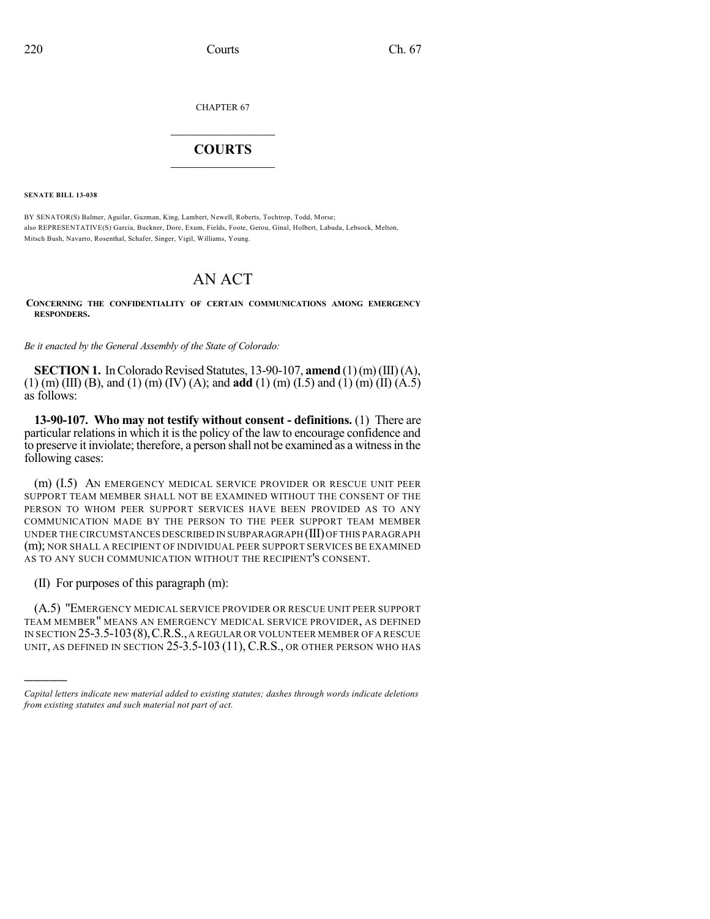CHAPTER 67

## $\overline{\phantom{a}}$  . The set of the set of the set of the set of the set of the set of the set of the set of the set of the set of the set of the set of the set of the set of the set of the set of the set of the set of the set o **COURTS**  $\_$   $\_$   $\_$   $\_$   $\_$   $\_$   $\_$   $\_$

**SENATE BILL 13-038**

BY SENATOR(S) Balmer, Aguilar, Guzman, King, Lambert, Newell, Roberts, Tochtrop, Todd, Morse; also REPRESENTATIVE(S) Garcia, Buckner, Dore, Exum, Fields, Foote, Gerou, Ginal, Holbert, Labuda, Lebsock, Melton, Mitsch Bush, Navarro, Rosenthal, Schafer, Singer, Vigil, Williams, Young.

## AN ACT

**CONCERNING THE CONFIDENTIALITY OF CERTAIN COMMUNICATIONS AMONG EMERGENCY RESPONDERS.**

*Be it enacted by the General Assembly of the State of Colorado:*

**SECTION 1.** In Colorado Revised Statutes, 13-90-107, **amend** (1)(m)(III)(A), (1) (m) (III) (B), and (1) (m) (IV) (A); and **add** (1) (m) (I.5) and (1) (m) (II) (A.5) as follows:

**13-90-107. Who may not testify without consent - definitions.** (1) There are particular relations in which it is the policy of the law to encourage confidence and to preserve it inviolate; therefore, a person shall not be examined as a witnessin the following cases:

(m) (I.5) AN EMERGENCY MEDICAL SERVICE PROVIDER OR RESCUE UNIT PEER SUPPORT TEAM MEMBER SHALL NOT BE EXAMINED WITHOUT THE CONSENT OF THE PERSON TO WHOM PEER SUPPORT SERVICES HAVE BEEN PROVIDED AS TO ANY COMMUNICATION MADE BY THE PERSON TO THE PEER SUPPORT TEAM MEMBER UNDER THE CIRCUMSTANCES DESCRIBED IN SUBPARAGRAPH (III)OF THIS PARAGRAPH (m); NOR SHALL A RECIPIENT OF INDIVIDUAL PEER SUPPORT SERVICES BE EXAMINED AS TO ANY SUCH COMMUNICATION WITHOUT THE RECIPIENT'S CONSENT.

(II) For purposes of this paragraph (m):

)))))

(A.5) "EMERGENCY MEDICAL SERVICE PROVIDER OR RESCUE UNIT PEER SUPPORT TEAM MEMBER" MEANS AN EMERGENCY MEDICAL SERVICE PROVIDER, AS DEFINED IN SECTION 25-3.5-103(8),C.R.S.,A REGULAR OR VOLUNTEER MEMBER OF A RESCUE UNIT, AS DEFINED IN SECTION 25-3.5-103 (11), C.R.S., OR OTHER PERSON WHO HAS

*Capital letters indicate new material added to existing statutes; dashes through words indicate deletions from existing statutes and such material not part of act.*